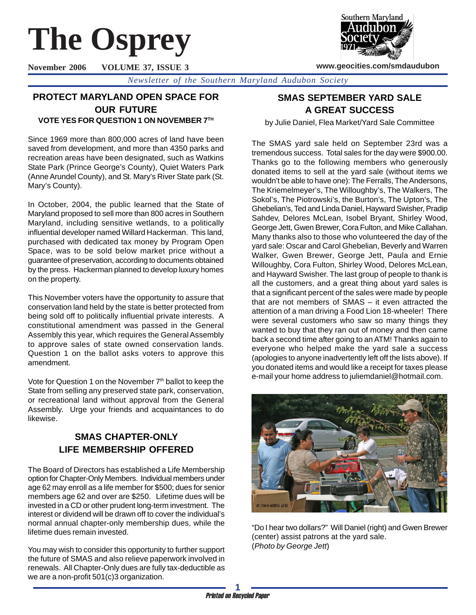# **The Osprey**

**November 2006 VOLUME 37, ISSUE 3**



**www.geocities.com/smdaudubon**

*Newsletter of the Southern Maryland Audubon Society*

# **PROTECT MARYLAND OPEN SPACE FOR OUR FUTURE**

**VOTE YES FOR QUESTION 1 ON NOVEMBER 7TH**

Since 1969 more than 800,000 acres of land have been saved from development, and more than 4350 parks and recreation areas have been designated, such as Watkins State Park (Prince George's County), Quiet Waters Park (Anne Arundel County), and St. Mary's River State park (St. Mary's County).

In October, 2004, the public learned that the State of Maryland proposed to sell more than 800 acres in Southern Maryland, including sensitive wetlands, to a politically influential developer named Willard Hackerman. This land, purchased with dedicated tax money by Program Open Space, was to be sold below market price without a guarantee of preservation, according to documents obtained by the press. Hackerman planned to develop luxury homes on the property.

This November voters have the opportunity to assure that conservation land held by the state is better protected from being sold off to politically influential private interests. A constitutional amendment was passed in the General Assembly this year, which requires the General Assembly to approve sales of state owned conservation lands. Question 1 on the ballot asks voters to approve this amendment.

Vote for Question 1 on the November  $7<sup>th</sup>$  ballot to keep the State from selling any preserved state park, conservation, or recreational land without approval from the General Assembly. Urge your friends and acquaintances to do likewise.

# **SMAS CHAPTER-ONLY LIFE MEMBERSHIP OFFERED**

The Board of Directors has established a Life Membership option for Chapter-Only Members. Individual members under age 62 may enroll as a life member for \$500; dues for senior members age 62 and over are \$250. Lifetime dues will be invested in a CD or other prudent long-term investment. The interest or dividend will be drawn off to cover the individual's normal annual chapter-only membership dues, while the lifetime dues remain invested.

You may wish to consider this opportunity to further support the future of SMAS and also relieve paperwork involved in renewals. All Chapter-Only dues are fully tax-deductible as we are a non-profit 501(c)3 organization.

# **SMAS SEPTEMBER YARD SALE A GREAT SUCCESS**

by Julie Daniel, Flea Market/Yard Sale Committee

The SMAS yard sale held on September 23rd was a tremendous success. Total sales for the day were \$900.00. Thanks go to the following members who generously donated items to sell at the yard sale (without items we wouldn't be able to have one): The Ferralls, The Andersons, The Kriemelmeyer's, The Willoughby's, The Walkers, The Sokol's, The Piotrowski's, the Burton's, The Upton's, The Ghebelian's, Ted and Linda Daniel, Hayward Swisher, Pradip Sahdev, Delores McLean, Isobel Bryant, Shirley Wood, George Jett, Gwen Brewer, Cora Fulton, and Mike Callahan. Many thanks also to those who volunteered the day of the yard sale: Oscar and Carol Ghebelian, Beverly and Warren Walker, Gwen Brewer, George Jett, Paula and Ernie Willoughby, Cora Fulton, Shirley Wood, Delores McLean, and Hayward Swisher. The last group of people to thank is all the customers, and a great thing about yard sales is that a significant percent of the sales were made by people that are not members of SMAS – it even attracted the attention of a man driving a Food Lion 18-wheeler! There were several customers who saw so many things they wanted to buy that they ran out of money and then came back a second time after going to an ATM! Thanks again to everyone who helped make the yard sale a success (apologies to anyone inadvertently left off the lists above). If you donated items and would like a receipt for taxes please e-mail your home address to juliemdaniel@hotmail.com.



"Do I hear two dollars?" Will Daniel (right) and Gwen Brewer (center) assist patrons at the yard sale. (*Photo by George Jett*)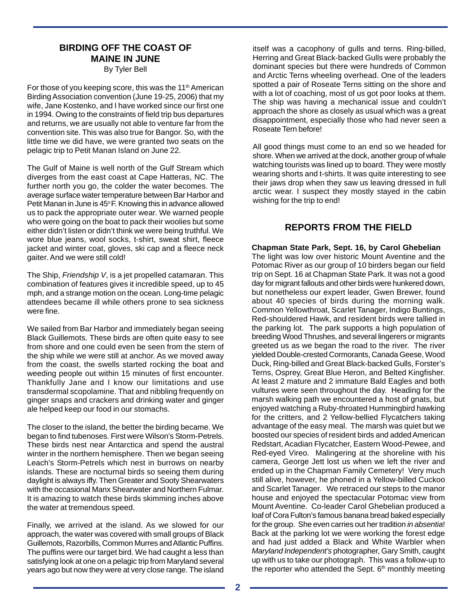# **BIRDING OFF THE COAST OF MAINE IN JUNE**

By Tyler Bell

For those of you keeping score, this was the 11<sup>th</sup> American Birding Association convention (June 19-25, 2006) that my wife, Jane Kostenko, and I have worked since our first one in 1994. Owing to the constraints of field trip bus departures and returns, we are usually not able to venture far from the convention site. This was also true for Bangor. So, with the little time we did have, we were granted two seats on the pelagic trip to Petit Manan Island on June 22.

The Gulf of Maine is well north of the Gulf Stream which diverges from the east coast at Cape Hatteras, NC. The further north you go, the colder the water becomes. The average surface water temperature between Bar Harbor and Petit Manan in June is 45°F. Knowing this in advance allowed us to pack the appropriate outer wear. We warned people who were going on the boat to pack their woolies but some either didn't listen or didn't think we were being truthful. We wore blue jeans, wool socks, t-shirt, sweat shirt, fleece jacket and winter coat, gloves, ski cap and a fleece neck gaiter. And we were still cold!

The Ship, *Friendship V*, is a jet propelled catamaran. This combination of features gives it incredible speed, up to 45 mph, and a strange motion on the ocean. Long-time pelagic attendees became ill while others prone to sea sickness were fine.

We sailed from Bar Harbor and immediately began seeing Black Guillemots. These birds are often quite easy to see from shore and one could even be seen from the stern of the ship while we were still at anchor. As we moved away from the coast, the swells started rocking the boat and weeding people out within 15 minutes of first encounter. Thankfully Jane and I know our limitations and use transdermal scopolamine. That and nibbling frequently on ginger snaps and crackers and drinking water and ginger ale helped keep our food in our stomachs.

The closer to the island, the better the birding became. We began to find tubenoses. First were Wilson's Storm-Petrels. These birds nest near Antarctica and spend the austral winter in the northern hemisphere. Then we began seeing Leach's Storm-Petrels which nest in burrows on nearby islands. These are nocturnal birds so seeing them during daylight is always iffy. Then Greater and Sooty Shearwaters with the occasional Manx Shearwater and Northern Fulmar. It is amazing to watch these birds skimming inches above the water at tremendous speed.

Finally, we arrived at the island. As we slowed for our approach, the water was covered with small groups of Black Guillemots, Razorbills, Common Murres and Atlantic Puffins. The puffins were our target bird. We had caught a less than satisfying look at one on a pelagic trip from Maryland several years ago but now they were at very close range. The island

itself was a cacophony of gulls and terns. Ring-billed, Herring and Great Black-backed Gulls were probably the dominant species but there were hundreds of Common and Arctic Terns wheeling overhead. One of the leaders spotted a pair of Roseate Terns sitting on the shore and with a lot of coaching, most of us got poor looks at them. The ship was having a mechanical issue and couldn't approach the shore as closely as usual which was a great disappointment, especially those who had never seen a Roseate Tern before!

All good things must come to an end so we headed for shore. When we arrived at the dock, another group of whale watching tourists was lined up to board. They were mostly wearing shorts and t-shirts. It was quite interesting to see their jaws drop when they saw us leaving dressed in full arctic wear. I suspect they mostly stayed in the cabin wishing for the trip to end!

## **REPORTS FROM THE FIELD**

**Chapman State Park, Sept. 16, by Carol Ghebelian** The light was low over historic Mount Aventine and the Potomac River as our group of 10 birders began our field trip on Sept. 16 at Chapman State Park. It was not a good day for migrant fallouts and other birds were hunkered down, but nonetheless our expert leader, Gwen Brewer, found about 40 species of birds during the morning walk. Common Yellowthroat, Scarlet Tanager, Indigo Buntings, Red-shouldered Hawk, and resident birds were tallied in the parking lot. The park supports a high population of breeding Wood Thrushes, and several lingerers or migrants greeted us as we began the road to the river. The river yielded Double-crested Cormorants, Canada Geese, Wood Duck, Ring-billed and Great Black-backed Gulls, Forster's Terns, Osprey, Great Blue Heron, and Belted Kingfisher. At least 2 mature and 2 immature Bald Eagles and both vultures were seen throughout the day. Heading for the marsh walking path we encountered a host of gnats, but enjoyed watching a Ruby-throated Hummingbird hawking for the critters, and 2 Yellow-bellied Flycatchers taking advantage of the easy meal. The marsh was quiet but we boosted our species of resident birds and added American Redstart, Acadian Flycatcher, Eastern Wood-Pewee, and Red-eyed Vireo. Malingering at the shoreline with his camera, George Jett lost us when we left the river and ended up in the Chapman Family Cemetery! Very much still alive, however, he phoned in a Yellow-billed Cuckoo and Scarlet Tanager. We retraced our steps to the manor house and enjoyed the spectacular Potomac view from Mount Aventine. Co-leader Carol Ghebelian produced a loaf of Cora Fulton's famous banana bread baked especially for the group. She even carries out her tradition *in absentia*! Back at the parking lot we were working the forest edge and had just added a Black and White Warbler when *Maryland Independent's* photographer, Gary Smith, caught up with us to take our photograph. This was a follow-up to the reporter who attended the Sept.  $6<sup>th</sup>$  monthly meeting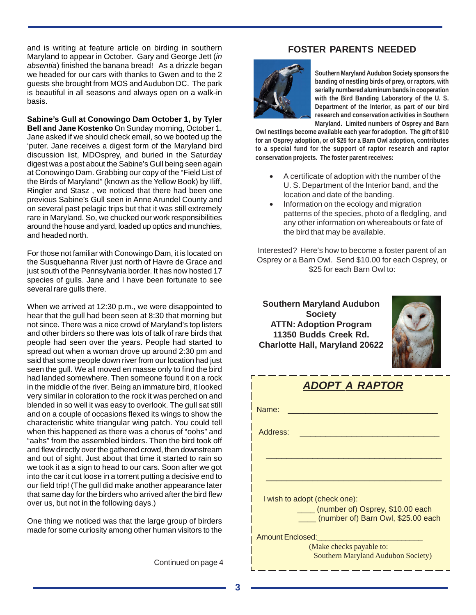and is writing at feature article on birding in southern Maryland to appear in October. Gary and George Jett (*in absentia*) finished the banana bread! As a drizzle began we headed for our cars with thanks to Gwen and to the 2 guests she brought from MOS and Audubon DC. The park is beautiful in all seasons and always open on a walk-in basis.

**Sabine's Gull at Conowingo Dam October 1, by Tyler Bell and Jane Kostenko** On Sunday morning, October 1, Jane asked if we should check email, so we booted up the 'puter. Jane receives a digest form of the Maryland bird discussion list, MDOsprey, and buried in the Saturday digest was a post about the Sabine's Gull being seen again at Conowingo Dam. Grabbing our copy of the "Field List of the Birds of Maryland" (known as the Yellow Book) by Iliff, Ringler and Stasz , we noticed that there had been one previous Sabine's Gull seen in Anne Arundel County and on several past pelagic trips but that it was still extremely rare in Maryland. So, we chucked our work responsibilities around the house and yard, loaded up optics and munchies, and headed north.

For those not familiar with Conowingo Dam, it is located on the Susquehanna River just north of Havre de Grace and just south of the Pennsylvania border. It has now hosted 17 species of gulls. Jane and I have been fortunate to see several rare gulls there.

When we arrived at 12:30 p.m., we were disappointed to hear that the gull had been seen at 8:30 that morning but not since. There was a nice crowd of Maryland's top listers and other birders so there was lots of talk of rare birds that people had seen over the years. People had started to spread out when a woman drove up around 2:30 pm and said that some people down river from our location had just seen the gull. We all moved en masse only to find the bird had landed somewhere. Then someone found it on a rock in the middle of the river. Being an immature bird, it looked very similar in coloration to the rock it was perched on and blended in so well it was easy to overlook. The gull sat still and on a couple of occasions flexed its wings to show the characteristic white triangular wing patch. You could tell when this happened as there was a chorus of "oohs" and "aahs" from the assembled birders. Then the bird took off and flew directly over the gathered crowd, then downstream and out of sight. Just about that time it started to rain so we took it as a sign to head to our cars. Soon after we got into the car it cut loose in a torrent putting a decisive end to our field trip! (The gull did make another appearance later that same day for the birders who arrived after the bird flew over us, but not in the following days.)

One thing we noticed was that the large group of birders made for some curiosity among other human visitors to the

Continued on page 4

## **FOSTER PARENTS NEEDED**



**Southern Maryland Audubon Society sponsors the banding of nestling birds of prey, or raptors, with serially numbered aluminum bands in cooperation with the Bird Banding Laboratory of the U. S. Department of the Interior, as part of our bird research and conservation activities in Southern Maryland. Limited numbers of Osprey and Barn**

**Owl nestlings become available each year for adoption. The gift of \$10 for an Osprey adoption, or of \$25 for a Barn Owl adoption, contributes to a special fund for the support of raptor research and raptor conservation projects. The foster parent receives:**

- A certificate of adoption with the number of the U. S. Department of the Interior band, and the location and date of the banding.
- Information on the ecology and migration patterns of the species, photo of a fledgling, and any other information on whereabouts or fate of the bird that may be available.

Interested? Here's how to become a foster parent of an Osprey or a Barn Owl. Send \$10.00 for each Osprey, or \$25 for each Barn Owl to:

**Southern Maryland Audubon Society ATTN: Adoption Program 11350 Budds Creek Rd. Charlotte Hall, Maryland 20622**



| <b>ADOPT A RAPTOR</b>                                                       |
|-----------------------------------------------------------------------------|
| Name:                                                                       |
| Address:                                                                    |
|                                                                             |
|                                                                             |
| I wish to adopt (check one):                                                |
| ____ (number of) Osprey, \$10.00 each<br>(number of) Barn Owl, \$25.00 each |
| <b>Amount Enclosed:</b>                                                     |
| (Make checks payable to:<br><b>Southern Maryland Audubon Society)</b>       |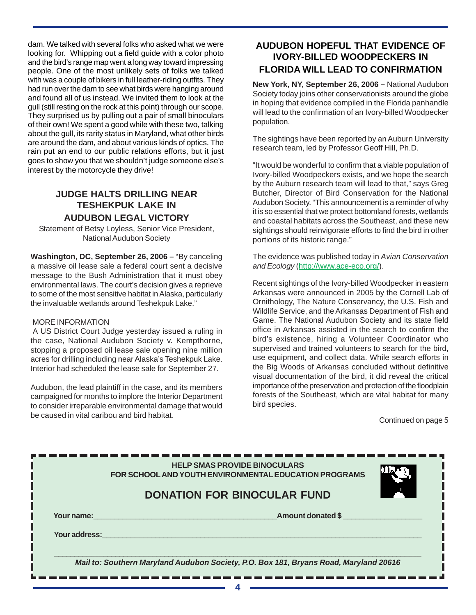dam. We talked with several folks who asked what we were looking for. Whipping out a field guide with a color photo and the bird's range map went a long way toward impressing people. One of the most unlikely sets of folks we talked with was a couple of bikers in full leather-riding outfits. They had run over the dam to see what birds were hanging around and found all of us instead. We invited them to look at the gull (still resting on the rock at this point) through our scope. They surprised us by pulling out a pair of small binoculars of their own! We spent a good while with these two, talking about the gull, its rarity status in Maryland, what other birds are around the dam, and about various kinds of optics. The rain put an end to our public relations efforts, but it just goes to show you that we shouldn't judge someone else's interest by the motorcycle they drive!

## **JUDGE HALTS DRILLING NEAR TESHEKPUK LAKE IN AUDUBON LEGAL VICTORY**

Statement of Betsy Loyless, Senior Vice President, National Audubon Society

**Washington, DC, September 26, 2006 –** "By canceling a massive oil lease sale a federal court sent a decisive message to the Bush Administration that it must obey environmental laws. The court's decision gives a reprieve to some of the most sensitive habitat in Alaska, particularly the invaluable wetlands around Teshekpuk Lake."

#### MORE INFORMATION

 A US District Court Judge yesterday issued a ruling in the case, National Audubon Society v. Kempthorne, stopping a proposed oil lease sale opening nine million acres for drilling including near Alaska's Teshekpuk Lake. Interior had scheduled the lease sale for September 27.

Audubon, the lead plaintiff in the case, and its members campaigned for months to implore the Interior Department to consider irreparable environmental damage that would be caused in vital caribou and bird habitat.

# **AUDUBON HOPEFUL THAT EVIDENCE OF IVORY-BILLED WOODPECKERS IN FLORIDA WILL LEAD TO CONFIRMATION**

**New York, NY, September 26, 2006 –** National Audubon Society today joins other conservationists around the globe in hoping that evidence compiled in the Florida panhandle will lead to the confirmation of an Ivory-billed Woodpecker population.

The sightings have been reported by an Auburn University research team, led by Professor Geoff Hill, Ph.D.

"It would be wonderful to confirm that a viable population of Ivory-billed Woodpeckers exists, and we hope the search by the Auburn research team will lead to that," says Greg Butcher, Director of Bird Conservation for the National Audubon Society. "This announcement is a reminder of why it is so essential that we protect bottomland forests, wetlands and coastal habitats across the Southeast, and these new sightings should reinvigorate efforts to find the bird in other portions of its historic range."

The evidence was published today in *Avian Conservation and Ecology* (http://www.ace-eco.org/).

Recent sightings of the Ivory-billed Woodpecker in eastern Arkansas were announced in 2005 by the Cornell Lab of Ornithology, The Nature Conservancy, the U.S. Fish and Wildlife Service, and the Arkansas Department of Fish and Game. The National Audubon Society and its state field office in Arkansas assisted in the search to confirm the bird's existence, hiring a Volunteer Coordinator who supervised and trained volunteers to search for the bird, use equipment, and collect data. While search efforts in the Big Woods of Arkansas concluded without definitive visual documentation of the bird, it did reveal the critical importance of the preservation and protection of the floodplain forests of the Southeast, which are vital habitat for many bird species.

Continued on page 5

|               | <b>HELP SMAS PROVIDE BINOCULARS</b><br>FOR SCHOOL AND YOUTH ENVIRONMENTAL EDUCATION PROGRAMS<br><b>DONATION FOR BINOCULAR FUND</b> |  |
|---------------|------------------------------------------------------------------------------------------------------------------------------------|--|
| Your name:    | <b>Amount donated \$</b>                                                                                                           |  |
| Your address: |                                                                                                                                    |  |
|               | Mail to: Southern Maryland Audubon Society, P.O. Box 181, Bryans Road, Maryland 20616                                              |  |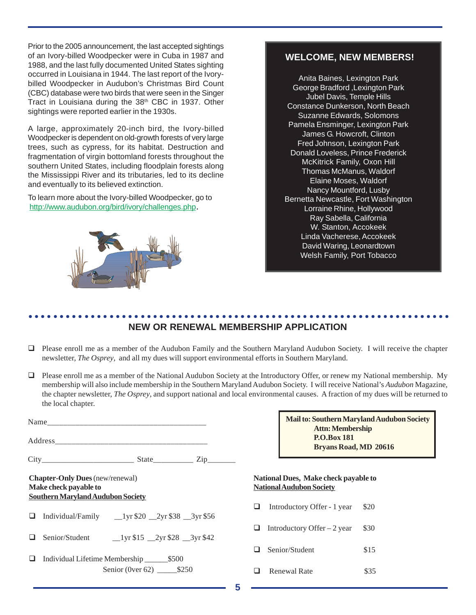Prior to the 2005 announcement, the last accepted sightings of an Ivory-billed Woodpecker were in Cuba in 1987 and 1988, and the last fully documented United States sighting occurred in Louisiana in 1944. The last report of the Ivorybilled Woodpecker in Audubon's Christmas Bird Count (CBC) database were two birds that were seen in the Singer Tract in Louisiana during the 38<sup>th</sup> CBC in 1937. Other sightings were reported earlier in the 1930s.

A large, approximately 20-inch bird, the Ivory-billed Woodpecker is dependent on old-growth forests of very large trees, such as cypress, for its habitat. Destruction and fragmentation of virgin bottomland forests throughout the southern United States, including floodplain forests along the Mississippi River and its tributaries, led to its decline and eventually to its believed extinction.

To learn more about the Ivory-billed Woodpecker, go to http://www.audubon.org/bird/ivory/challenges.php.



## **WELCOME, NEW MEMBERS!**

Anita Baines, Lexington Park George Bradford ,Lexington Park Jubel Davis, Temple Hills Constance Dunkerson, North Beach Suzanne Edwards, Solomons Pamela Ensminger, Lexington Park James G. Howcroft, Clinton Fred Johnson, Lexington Park Donald Loveless, Prince Frederick McKitrick Family, Oxon Hill Thomas McManus, Waldorf Elaine Moses, Waldorf Nancy Mountford, Lusby Bernetta Newcastle, Fort Washington Lorraine Rhine, Hollywood Ray Sabella, California W. Stanton, Accokeek Linda Vacherese, Accokeek David Waring, Leonardtown Welsh Family, Port Tobacco

#### ○○○○○○○○○○○○○○○○○○○○○○○○○○○○○○○○○○○○○○○○○○○○○ ○○○○○○○○○○○○○○○○○○○○○○○ **NEW OR RENEWAL MEMBERSHIP APPLICATION**

- Please enroll me as a member of the Audubon Family and the Southern Maryland Audubon Society. I will receive the chapter newsletter, *The Osprey*, and all my dues will support environmental efforts in Southern Maryland.
- Please enroll me as a member of the National Audubon Society at the Introductory Offer, or renew my National membership. My membership will also include membership in the Southern Maryland Audubon Society. I will receive National's *Audubon* Magazine, the chapter newsletter, *The Osprey*, and support national and local environmental causes. A fraction of my dues will be returned to the local chapter.

|                                                                                                             | $State$ $Zip$                                                                            |  |  |
|-------------------------------------------------------------------------------------------------------------|------------------------------------------------------------------------------------------|--|--|
| <b>Chapter-Only Dues</b> (new/renewal)<br>Make check payable to<br><b>Southern Maryland Audubon Society</b> |                                                                                          |  |  |
|                                                                                                             | $\Box$ Individual/Family __1yr \$20 __2yr \$38 __3yr \$56                                |  |  |
|                                                                                                             | $\Box$ Senior/Student 1 yr \$15 2 yr \$28 3 yr \$42                                      |  |  |
|                                                                                                             | $\Box$ Individual Lifetime Membership $\_\_\_\$ \$500<br>Senior (0ver 62) ________ \$250 |  |  |

**Mail to: Southern Maryland Audubon Society Attn: Membership P.O.Box 181 Bryans Road, MD 20616**

#### **National Dues, Make check payable to National Audubon Society**

- Introductory Offer 1 year \$20 **Introductory Offer** – 2 year  $$30$  $\Box$  Senior/Student \$15
- **a** Renewal Rate \$35